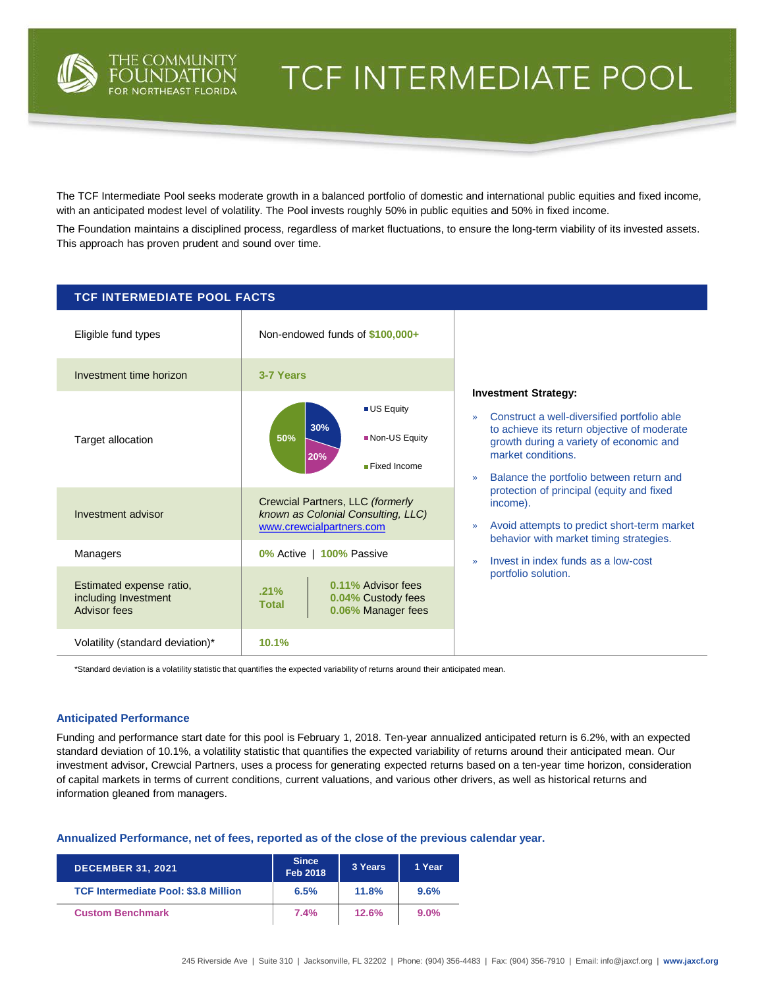

# TCF INTERMEDIATE POOL

The TCF Intermediate Pool seeks moderate growth in a balanced portfolio of domestic and international public equities and fixed income, with an anticipated modest level of volatility. The Pool invests roughly 50% in public equities and 50% in fixed income.

The Foundation maintains a disciplined process, regardless of market fluctuations, to ensure the long-term viability of its invested assets. This approach has proven prudent and sound over time.

| <b>TCF INTERMEDIATE POOL FACTS</b>                               |                                                                                                    |                                                                                                                                                                                                                                                                  |  |  |  |  |
|------------------------------------------------------------------|----------------------------------------------------------------------------------------------------|------------------------------------------------------------------------------------------------------------------------------------------------------------------------------------------------------------------------------------------------------------------|--|--|--|--|
| Eligible fund types                                              | Non-endowed funds of \$100,000+                                                                    |                                                                                                                                                                                                                                                                  |  |  |  |  |
| Investment time horizon                                          | 3-7 Years                                                                                          |                                                                                                                                                                                                                                                                  |  |  |  |  |
| Target allocation                                                | <b>US Equity</b><br>30%<br>Non-US Equity<br>50%<br>20%<br>Fixed Income                             | <b>Investment Strategy:</b><br>Construct a well-diversified portfolio able<br>$\gg$<br>to achieve its return objective of moderate<br>growth during a variety of economic and<br>market conditions.<br>Balance the portfolio between return and<br>$\rightarrow$ |  |  |  |  |
| Investment advisor                                               | Crewcial Partners, LLC (formerly<br>known as Colonial Consulting, LLC)<br>www.crewcialpartners.com | protection of principal (equity and fixed<br>income).<br>Avoid attempts to predict short-term market<br>$\gg$<br>behavior with market timing strategies.                                                                                                         |  |  |  |  |
| Managers                                                         | 0% Active   100% Passive                                                                           | Invest in index funds as a low-cost<br>$\mathcal{D}$                                                                                                                                                                                                             |  |  |  |  |
| Estimated expense ratio,<br>including Investment<br>Advisor fees | 0.11% Advisor fees<br>.21%<br>0.04% Custody fees<br><b>Total</b><br>0.06% Manager fees             | portfolio solution.                                                                                                                                                                                                                                              |  |  |  |  |
| Volatility (standard deviation)*                                 | 10.1%                                                                                              |                                                                                                                                                                                                                                                                  |  |  |  |  |

\*Standard deviation is a volatility statistic that quantifies the expected variability of returns around their anticipated mean.

## **Anticipated Performance**

Funding and performance start date for this pool is February 1, 2018. Ten-year annualized anticipated return is 6.2%, with an expected standard deviation of 10.1%, a volatility statistic that quantifies the expected variability of returns around their anticipated mean. Our investment advisor, Crewcial Partners, uses a process for generating expected returns based on a ten-year time horizon, consideration of capital markets in terms of current conditions, current valuations, and various other drivers, as well as historical returns and information gleaned from managers.

**Annualized Performance, net of fees, reported as of the close of the previous calendar year.**

| <b>DECEMBER 31, 2021</b>                    | <b>Since</b><br><b>Feb 2018</b> | 3 Years | 1 Year  |
|---------------------------------------------|---------------------------------|---------|---------|
| <b>TCF Intermediate Pool: \$3.8 Million</b> | 6.5%                            | 11.8%   | 9.6%    |
| <b>Custom Benchmark</b>                     | 7.4%                            | 12.6%   | $9.0\%$ |